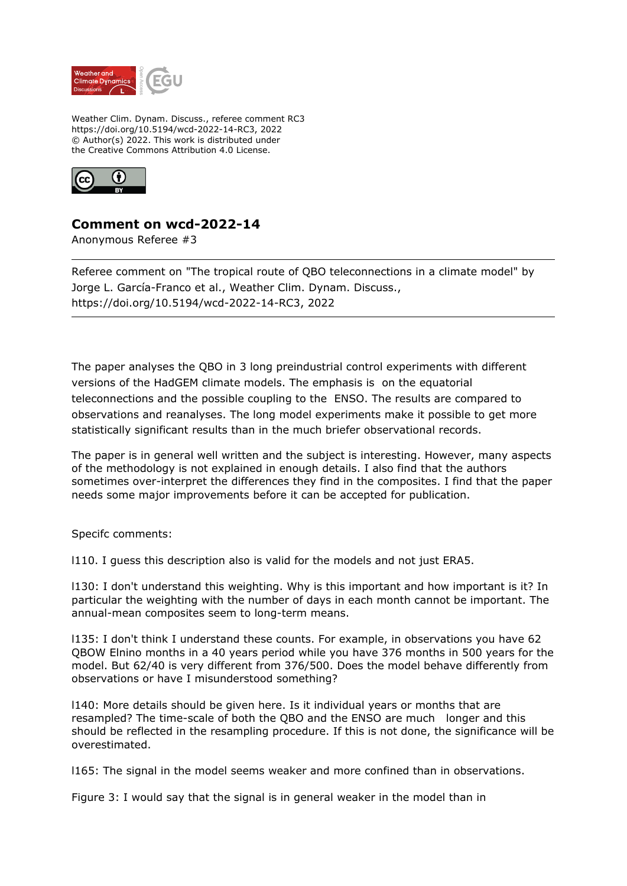

Weather Clim. Dynam. Discuss., referee comment RC3 https://doi.org/10.5194/wcd-2022-14-RC3, 2022 © Author(s) 2022. This work is distributed under the Creative Commons Attribution 4.0 License.



## **Comment on wcd-2022-14**

Anonymous Referee #3

Referee comment on "The tropical route of QBO teleconnections in a climate model" by Jorge L. García-Franco et al., Weather Clim. Dynam. Discuss., https://doi.org/10.5194/wcd-2022-14-RC3, 2022

The paper analyses the QBO in 3 long preindustrial control experiments with different versions of the HadGEM climate models. The emphasis is on the equatorial teleconnections and the possible coupling to the ENSO. The results are compared to observations and reanalyses. The long model experiments make it possible to get more statistically significant results than in the much briefer observational records.

The paper is in general well written and the subject is interesting. However, many aspects of the methodology is not explained in enough details. I also find that the authors sometimes over-interpret the differences they find in the composites. I find that the paper needs some major improvements before it can be accepted for publication.

Specifc comments:

l110. I guess this description also is valid for the models and not just ERA5.

l130: I don't understand this weighting. Why is this important and how important is it? In particular the weighting with the number of days in each month cannot be important. The annual-mean composites seem to long-term means.

l135: I don't think I understand these counts. For example, in observations you have 62 QBOW Elnino months in a 40 years period while you have 376 months in 500 years for the model. But 62/40 is very different from 376/500. Does the model behave differently from observations or have I misunderstood something?

l140: More details should be given here. Is it individual years or months that are resampled? The time-scale of both the QBO and the ENSO are much longer and this should be reflected in the resampling procedure. If this is not done, the significance will be overestimated.

l165: The signal in the model seems weaker and more confined than in observations.

Figure 3: I would say that the signal is in general weaker in the model than in